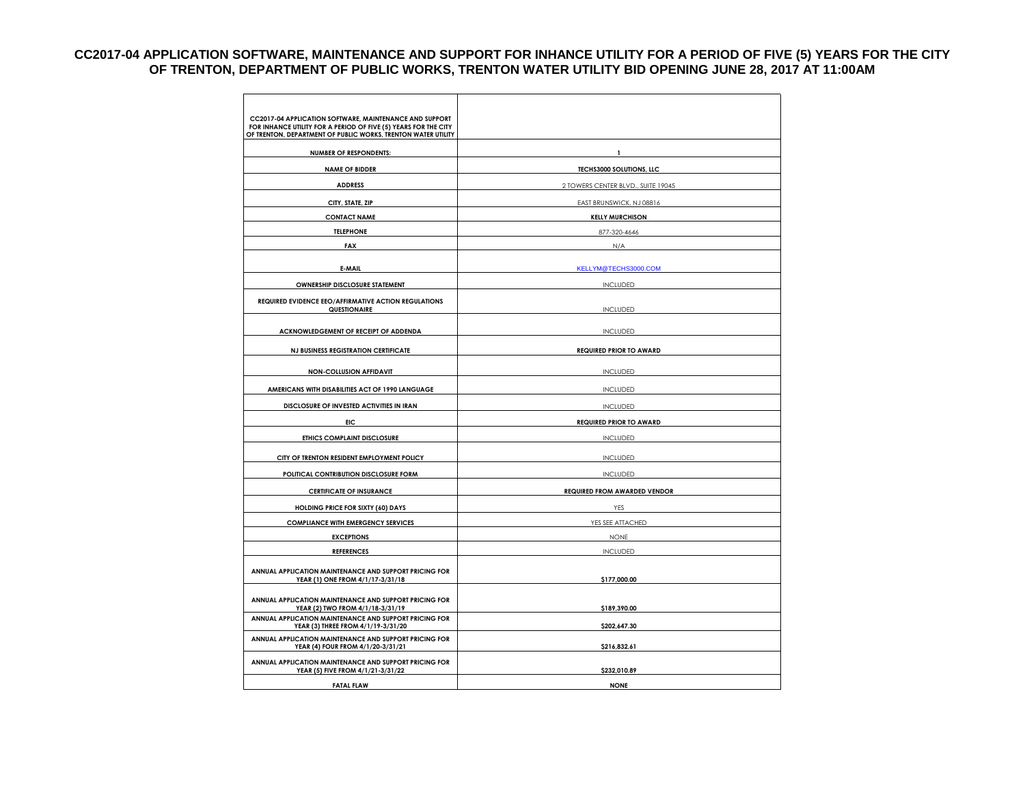## **CC2017-04 APPLICATION SOFTWARE, MAINTENANCE AND SUPPORT FOR INHANCE UTILITY FOR A PERIOD OF FIVE (5) YEARS FOR THE CITY OF TRENTON, DEPARTMENT OF PUBLIC WORKS, TRENTON WATER UTILITY BID OPENING JUNE 28, 2017 AT 11:00AM**

| CC2017-04 APPLICATION SOFTWARE, MAINTENANCE AND SUPPORT<br>FOR INHANCE UTILITY FOR A PERIOD OF FIVE (5) YEARS FOR THE CITY<br>OF TRENTON, DEPARTMENT OF PUBLIC WORKS, TRENTON WATER UTILITY |                                     |
|---------------------------------------------------------------------------------------------------------------------------------------------------------------------------------------------|-------------------------------------|
| <b>NUMBER OF RESPONDENTS:</b>                                                                                                                                                               | 1                                   |
| <b>NAME OF BIDDER</b>                                                                                                                                                                       | TECHS3000 SOLUTIONS, LLC            |
| <b>ADDRESS</b>                                                                                                                                                                              | 2 TOWERS CENTER BLVD., SUITE 19045  |
| CITY, STATE, ZIP                                                                                                                                                                            | EAST BRUNSWICK, NJ 08816            |
| <b>CONTACT NAME</b>                                                                                                                                                                         | <b>KELLY MURCHISON</b>              |
| <b>TELEPHONE</b>                                                                                                                                                                            | 877-320-4646                        |
| FAX                                                                                                                                                                                         | N/A                                 |
| E-MAIL                                                                                                                                                                                      | KELLYM@TECHS3000.COM                |
| OWNERSHIP DISCLOSURE STATEMENT                                                                                                                                                              | <b>INCLUDED</b>                     |
| REQUIRED EVIDENCE EEO/AFFIRMATIVE ACTION REGULATIONS                                                                                                                                        |                                     |
| QUESTIONAIRE                                                                                                                                                                                | <b>INCLUDED</b>                     |
| ACKNOWLEDGEMENT OF RECEIPT OF ADDENDA                                                                                                                                                       | <b>INCLUDED</b>                     |
| <b>NJ BUSINESS REGISTRATION CERTIFICATE</b>                                                                                                                                                 | <b>REQUIRED PRIOR TO AWARD</b>      |
| <b>NON-COLLUSION AFFIDAVIT</b>                                                                                                                                                              | <b>INCLUDED</b>                     |
| AMERICANS WITH DISABILITIES ACT OF 1990 LANGUAGE                                                                                                                                            | <b>INCLUDED</b>                     |
| DISCLOSURE OF INVESTED ACTIVITIES IN IRAN                                                                                                                                                   | <b>INCLUDED</b>                     |
| EIC                                                                                                                                                                                         | <b>REQUIRED PRIOR TO AWARD</b>      |
| ETHICS COMPLAINT DISCLOSURE                                                                                                                                                                 | <b>INCLUDED</b>                     |
| CITY OF TRENTON RESIDENT EMPLOYMENT POLICY                                                                                                                                                  | <b>INCLUDED</b>                     |
| POLITICAL CONTRIBUTION DISCLOSURE FORM                                                                                                                                                      | <b>INCLUDED</b>                     |
| <b>CERTIFICATE OF INSURANCE</b>                                                                                                                                                             | <b>REQUIRED FROM AWARDED VENDOR</b> |
| HOLDING PRICE FOR SIXTY (60) DAYS                                                                                                                                                           | YES                                 |
| <b>COMPLIANCE WITH EMERGENCY SERVICES</b>                                                                                                                                                   | YES SEE ATTACHED                    |
| <b>EXCEPTIONS</b>                                                                                                                                                                           | <b>NONE</b>                         |
| <b>REFERENCES</b>                                                                                                                                                                           | <b>INCLUDED</b>                     |
| ANNUAL APPLICATION MAINTENANCE AND SUPPORT PRICING FOR<br>YEAR (1) ONE FROM 4/1/17-3/31/18                                                                                                  | \$177,000.00                        |
| ANNUAL APPLICATION MAINTENANCE AND SUPPORT PRICING FOR<br>YEAR (2) TWO FROM 4/1/18-3/31/19                                                                                                  | \$189,390.00                        |
| ANNUAL APPLICATION MAINTENANCE AND SUPPORT PRICING FOR<br>YEAR (3) THREE FROM 4/1/19-3/31/20                                                                                                | \$202,647.30                        |
| ANNUAL APPLICATION MAINTENANCE AND SUPPORT PRICING FOR<br>YEAR (4) FOUR FROM 4/1/20-3/31/21                                                                                                 | \$216,832.61                        |
| ANNUAL APPLICATION MAINTENANCE AND SUPPORT PRICING FOR<br>YEAR (5) FIVE FROM 4/1/21-3/31/22                                                                                                 | \$232,010.89                        |
| <b>FATAL FLAW</b>                                                                                                                                                                           | <b>NONE</b>                         |